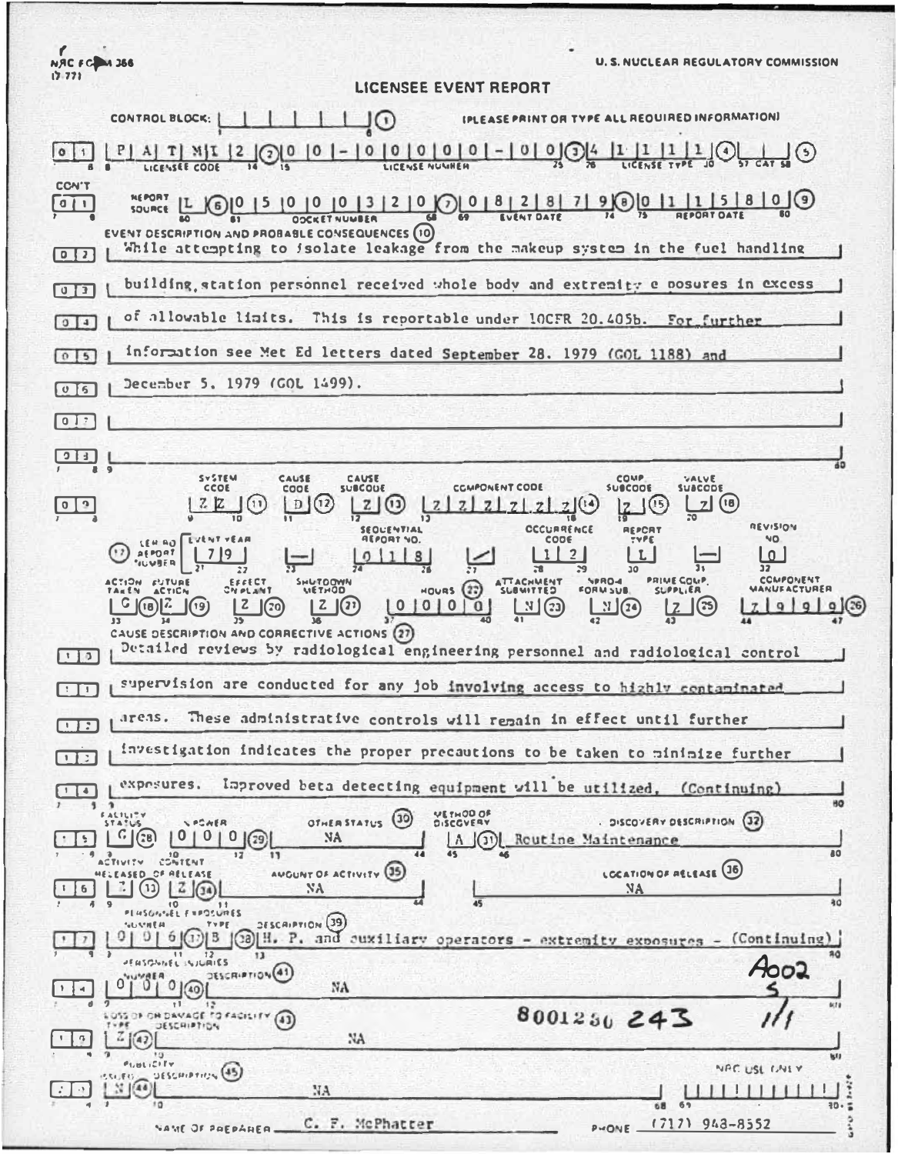**NAC FC 4 366 U. S. NUCLEAR REGULATORY COMMISSION**  $17 - 771$ LICENSEE EVENT REPORT CONTROL BLOCK: 10 IPLEASE PRINT OR TYPE ALL REQUIRED INFORMATION  $\frac{P|A|T|N|I|2}{\frac{1}{2}\left(\frac{P}{2}\right)^{6}}\frac{1}{16}$  $\exists$   $\odot$  $|0|1|$ LICENSEE CODE **CCN'T NEPORT**  $L \bigcirc \{0\}$  $15809$  $\boxed{0}$ **SOURCE OOCKET NUMBER** EVENT DESCRIPTION AND PROBABLE CONSEQUENCES (10) While attempting to isolate leakage from the makeup system in the fuel handling building station personnel received whole body and extremity e posures in excess  $\sqrt{13}$ of allowable limits. This is reportable under 10CFR 20.405b. For further  $914$ information see Met Ed letters dated September 28. 1979 (GOL 1188)  $0\vert 5$ and December 5, 1979 (GOL 1499).  $05$  $017$  $13$ SYSTEM CAUSE CAUSE COMP VALVE<br>SUBCODE COOE **SUBCOUE CCMPONENT CODE SUBCOOR**  $|D|$  $(12)$  $Z(3)$  $(18)$  $0<sup>3</sup>$  $\mathbb{Z}$  $\overline{12}$ REVISION **SEQUENTIAL** REPCRY **CCCURRENCE** CODE NO. **AEPORT NO.**  $158880$ **AEPORT**  $719$ 3  $\frac{1}{2}$ ا ما τ.  $\overline{12}$ COMPONENT PRIME COMP. EFFECT<br>Chi et shi ACTION FUTURE **SHUTOON!**<br>QDHT3N  $MOWRS(22)$ FORMSUB **SLIPPLIER** <u> 17 3</u>  $99$  $G$  (is)  $\mathbb{Z}$  $\mathbf{z}$  $2(2)$  $|0|0|0|0$  $\frac{1}{2}$  $9(36)$  $\sqrt{20}$ ர்எத CAUSE DESCRIPTION AND CORRECTIVE ACTIONS (27) Detailed reviews by radiological engineering personnel and radiological control  $\Box$ supervision are conducted for any job involving access to highly contaminated ान  $are3s.$ These administrative controls will remain in effect until further investigation indicates the proper precautions to be taken to minimize further  $\Box$ expesures. Improved beta detecting equipment will be utilized.  $(Continuing)$  $\begin{array}{|c|c|c|}\hline \textbf{1} & \textbf{1} & \textbf{1} \\ \hline \end{array}$  $\overline{1}$ VETHOD OF EAL1 OTHER STATUS (30) DISCOVERY DESCRIPTION (32) **LPCAER**  $0 | 0 | 0 |$  (29)  $C(38)$  $\lfloor \cdot \rfloor$ NA Routine Maintenano  $\vert (3) \vert$ **AO** CONTENT **ACTIVITY** AUGUNT OF ACTIVITY (35 CCATION OF RELEASE (16) OF RELEASE  $2(34)$  $(1)$ ∫ 6  $NA$ ۹O SESCAIPTION (39 | B (30) H. P. and cuxiliary operators - extremity exposures - (Continuing)  $\overline{12}$  $\overline{1}$  $30<sup>2</sup>$ JURIES 4002 DESCRIPTION(41 NA  $\overline{4}$  $(40)$  $411$ 8001250 243 OSS OF OR DAVAGE TO FACILITY  $\left( 43 \right)$ JESCHIPTION  $\sqrt{ }$  $\overline{4}$ NA.  $P$ LULICITY NAC USE CALLY DESCRIPTION (45)  $N\sqrt{48}$  $\rightarrow$ NA  $\perp$ C. F. McPhatter  $(712)$  943-8552 VAME OF PAEPARER. PHONE -